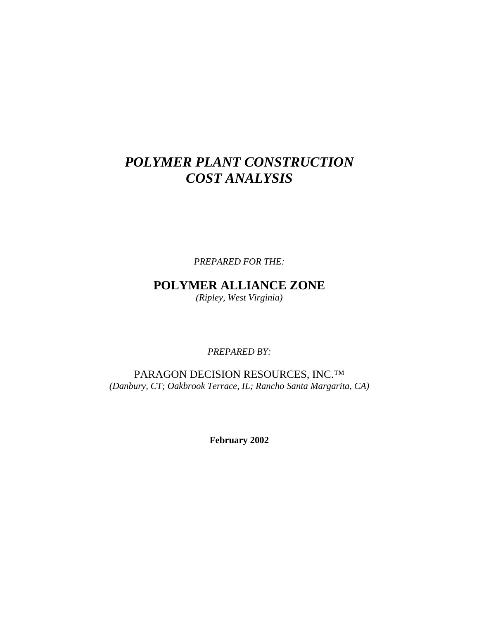# *POLYMER PLANT CONSTRUCTION COST ANALYSIS*

*PREPARED FOR THE:* 

**POLYMER ALLIANCE ZONE**  *(Ripley, West Virginia)* 

*PREPARED BY:* 

PARAGON DECISION RESOURCES, INC.<sup>™</sup> *(Danbury, CT; Oakbrook Terrace, IL; Rancho Santa Margarita, CA)* 

**February 2002**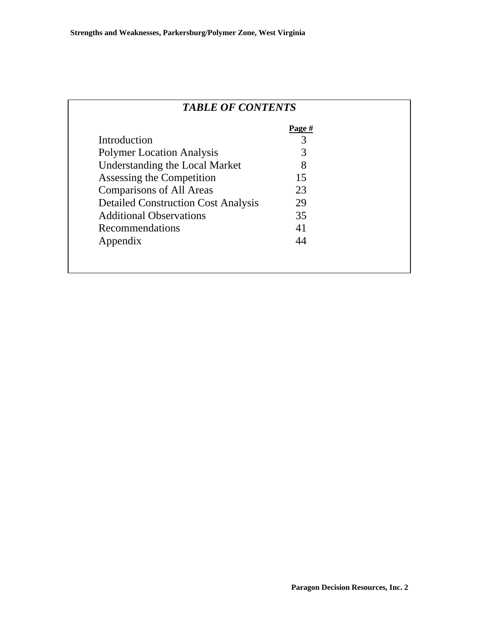| <b>TABLE OF CONTENTS</b>                   |        |  |
|--------------------------------------------|--------|--|
|                                            | Page # |  |
| Introduction                               | 3      |  |
| <b>Polymer Location Analysis</b>           | 3      |  |
| <b>Understanding the Local Market</b>      |        |  |
| Assessing the Competition                  | 15     |  |
| <b>Comparisons of All Areas</b>            | 23     |  |
| <b>Detailed Construction Cost Analysis</b> | 29     |  |
| <b>Additional Observations</b>             | 35     |  |
| Recommendations                            | 41     |  |
| Appendix                                   | 44     |  |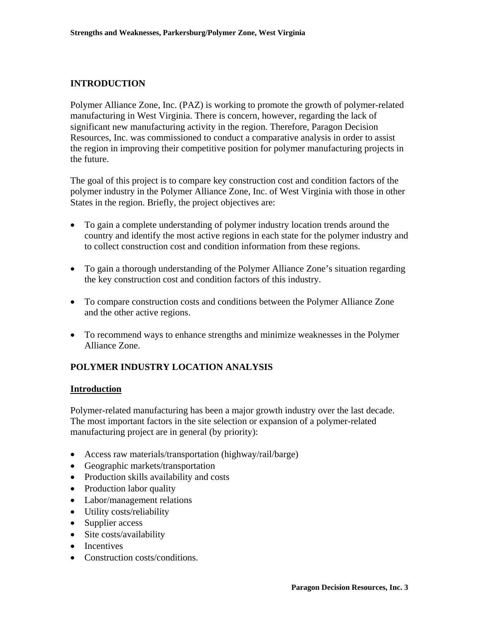## **INTRODUCTION**

Polymer Alliance Zone, Inc. (PAZ) is working to promote the growth of polymer-related manufacturing in West Virginia. There is concern, however, regarding the lack of significant new manufacturing activity in the region. Therefore, Paragon Decision Resources, Inc. was commissioned to conduct a comparative analysis in order to assist the region in improving their competitive position for polymer manufacturing projects in the future.

The goal of this project is to compare key construction cost and condition factors of the polymer industry in the Polymer Alliance Zone, Inc. of West Virginia with those in other States in the region. Briefly, the project objectives are:

- To gain a complete understanding of polymer industry location trends around the country and identify the most active regions in each state for the polymer industry and to collect construction cost and condition information from these regions.
- To gain a thorough understanding of the Polymer Alliance Zone's situation regarding the key construction cost and condition factors of this industry.
- To compare construction costs and conditions between the Polymer Alliance Zone and the other active regions.
- To recommend ways to enhance strengths and minimize weaknesses in the Polymer Alliance Zone.

## **POLYMER INDUSTRY LOCATION ANALYSIS**

#### **Introduction**

Polymer-related manufacturing has been a major growth industry over the last decade. The most important factors in the site selection or expansion of a polymer-related manufacturing project are in general (by priority):

- Access raw materials/transportation (highway/rail/barge)
- Geographic markets/transportation
- Production skills availability and costs
- Production labor quality
- Labor/management relations
- Utility costs/reliability
- Supplier access
- Site costs/availability
- Incentives
- Construction costs/conditions.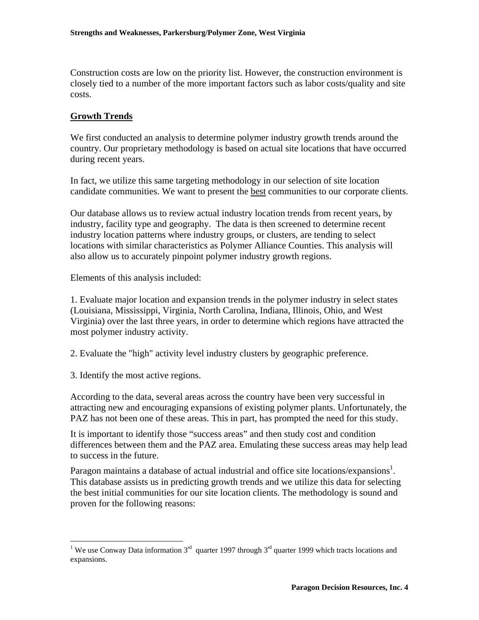Construction costs are low on the priority list. However, the construction environment is closely tied to a number of the more important factors such as labor costs/quality and site costs.

## **Growth Trends**

We first conducted an analysis to determine polymer industry growth trends around the country. Our proprietary methodology is based on actual site locations that have occurred during recent years.

In fact, we utilize this same targeting methodology in our selection of site location candidate communities. We want to present the best communities to our corporate clients.

Our database allows us to review actual industry location trends from recent years, by industry, facility type and geography. The data is then screened to determine recent industry location patterns where industry groups, or clusters, are tending to select locations with similar characteristics as Polymer Alliance Counties. This analysis will also allow us to accurately pinpoint polymer industry growth regions.

Elements of this analysis included:

1. Evaluate major location and expansion trends in the polymer industry in select states (Louisiana, Mississippi, Virginia, North Carolina, Indiana, Illinois, Ohio, and West Virginia) over the last three years, in order to determine which regions have attracted the most polymer industry activity.

2. Evaluate the "high" activity level industry clusters by geographic preference.

3. Identify the most active regions.

1

According to the data, several areas across the country have been very successful in attracting new and encouraging expansions of existing polymer plants. Unfortunately, the PAZ has not been one of these areas. This in part, has prompted the need for this study.

It is important to identify those "success areas" and then study cost and condition differences between them and the PAZ area. Emulating these success areas may help lead to success in the future.

Paragon maintains a database of actual industrial and office site locations/expansions<sup>[1](#page-3-0)</sup>. This database assists us in predicting growth trends and we utilize this data for selecting the best initial communities for our site location clients. The methodology is sound and proven for the following reasons:

<span id="page-3-0"></span><sup>&</sup>lt;sup>1</sup> We use Conway Data information  $3<sup>rd</sup>$  quarter 1997 through  $3<sup>rd</sup>$  quarter 1999 which tracts locations and expansions.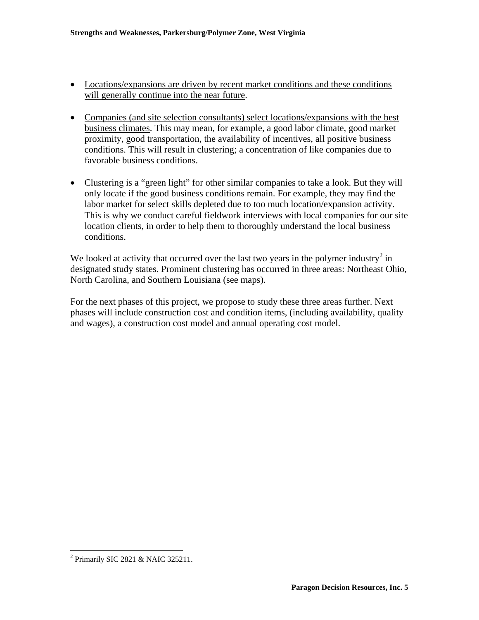- Locations/expansions are driven by recent market conditions and these conditions will generally continue into the near future.
- Companies (and site selection consultants) select locations/expansions with the best business climates. This may mean, for example, a good labor climate, good market proximity, good transportation, the availability of incentives, all positive business conditions. This will result in clustering; a concentration of like companies due to favorable business conditions.
- Clustering is a "green light" for other similar companies to take a look. But they will only locate if the good business conditions remain. For example, they may find the labor market for select skills depleted due to too much location/expansion activity. This is why we conduct careful fieldwork interviews with local companies for our site location clients, in order to help them to thoroughly understand the local business conditions.

We looked at activity that occurred over the last two years in the polymer industry<sup>2</sup> in designated study states. Prominent clustering has occurred in three areas: Northeast Ohio, North Carolina, and Southern Louisiana (see maps).

For the next phases of this project, we propose to study these three areas further. Next phases will include construction cost and condition items, (including availability, quality and wages), a construction cost model and annual operating cost model.

<u>.</u>

<span id="page-4-0"></span><sup>&</sup>lt;sup>2</sup> Primarily SIC 2821 & NAIC 325211.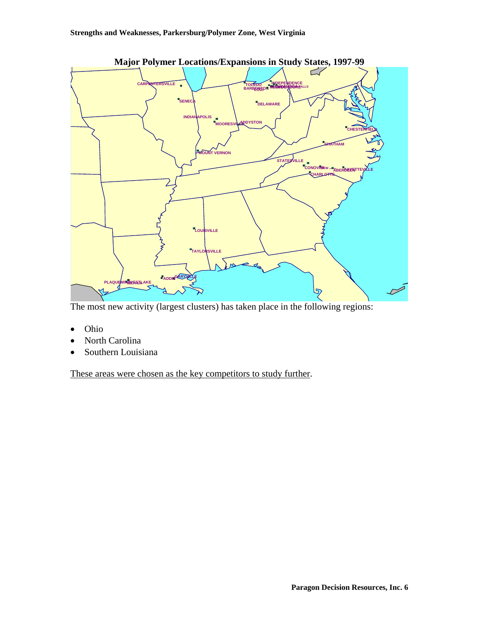

The most new activity (largest clusters) has taken place in the following regions:

- Ohio
- North Carolina
- Southern Louisiana

These areas were chosen as the key competitors to study further.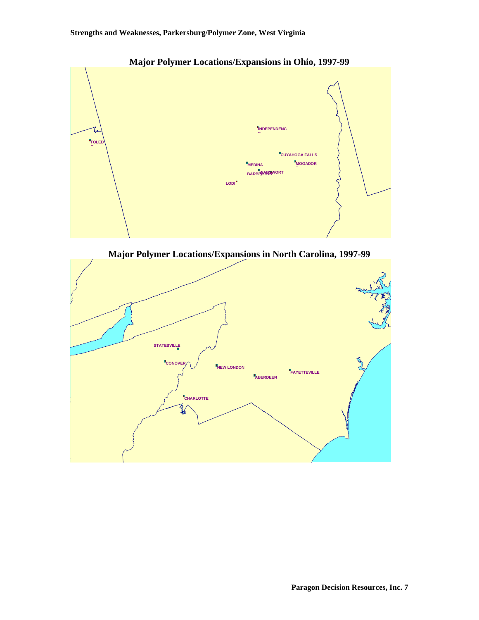

**Major Polymer Locations/Expansions in Ohio, 1997-99** 



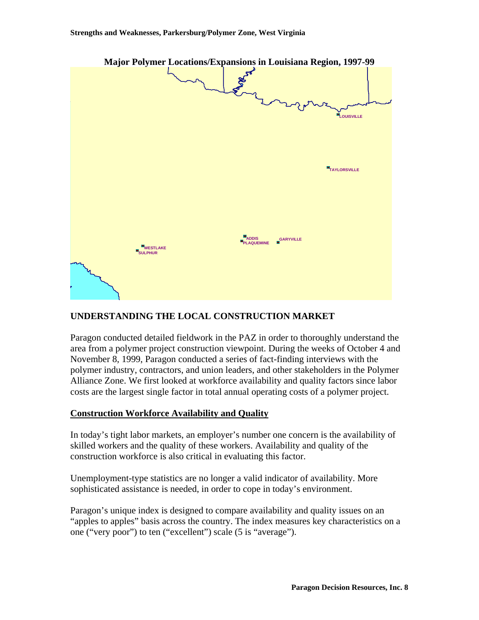

## **UNDERSTANDING THE LOCAL CONSTRUCTION MARKET**

Paragon conducted detailed fieldwork in the PAZ in order to thoroughly understand the area from a polymer project construction viewpoint. During the weeks of October 4 and November 8, 1999, Paragon conducted a series of fact-finding interviews with the polymer industry, contractors, and union leaders, and other stakeholders in the Polymer Alliance Zone. We first looked at workforce availability and quality factors since labor costs are the largest single factor in total annual operating costs of a polymer project.

## **Construction Workforce Availability and Quality**

In today's tight labor markets, an employer's number one concern is the availability of skilled workers and the quality of these workers. Availability and quality of the construction workforce is also critical in evaluating this factor.

Unemployment-type statistics are no longer a valid indicator of availability. More sophisticated assistance is needed, in order to cope in today's environment.

Paragon's unique index is designed to compare availability and quality issues on an "apples to apples" basis across the country. The index measures key characteristics on a one ("very poor") to ten ("excellent") scale (5 is "average").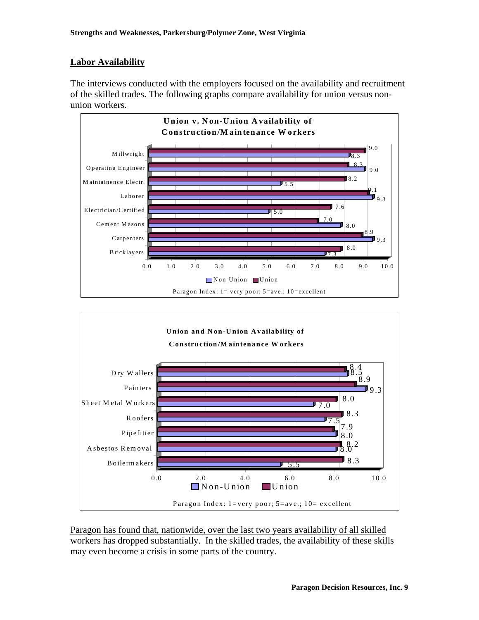## **Labor Availability**

The interviews conducted with the employers focused on the availability and recruitment of the skilled trades. The following graphs compare availability for union versus nonunion workers.





Paragon has found that, nationwide, over the last two years availability of all skilled workers has dropped substantially. In the skilled trades, the availability of these skills may even become a crisis in some parts of the country.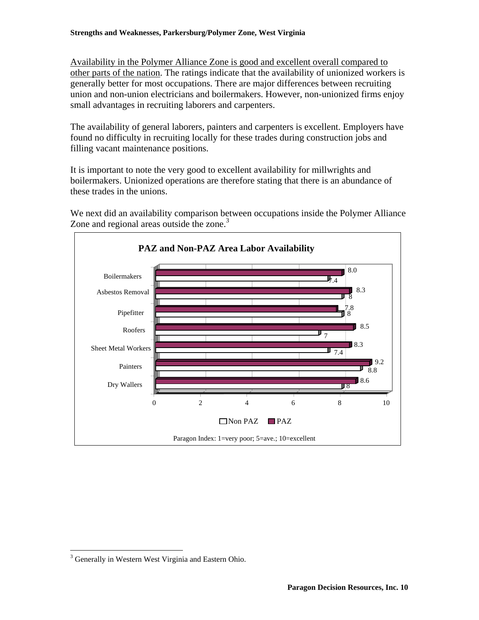Availability in the Polymer Alliance Zone is good and excellent overall compared to other parts of the nation. The ratings indicate that the availability of unionized workers is generally better for most occupations. There are major differences between recruiting union and non-union electricians and boilermakers. However, non-unionized firms enjoy small advantages in recruiting laborers and carpenters.

The availability of general laborers, painters and carpenters is excellent. Employers have found no difficulty in recruiting locally for these trades during construction jobs and filling vacant maintenance positions.

It is important to note the very good to excellent availability for millwrights and boilermakers. Unionized operations are therefore stating that there is an abundance of these trades in the unions.

We next did an availability comparison between occupations inside the Polymer Alliance Zone and regional areas outside the zone.<sup>[3](#page-9-0)</sup>



 $\overline{a}$ 

<span id="page-9-0"></span><sup>&</sup>lt;sup>3</sup> Generally in Western West Virginia and Eastern Ohio.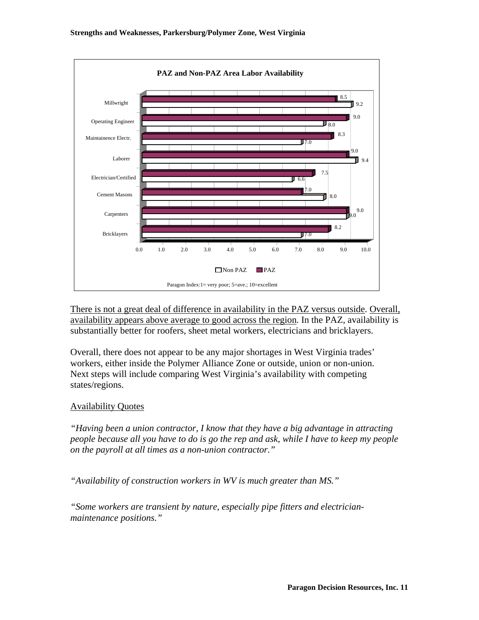

There is not a great deal of difference in availability in the PAZ versus outside. Overall, availability appears above average to good across the region. In the PAZ, availability is substantially better for roofers, sheet metal workers, electricians and bricklayers.

Overall, there does not appear to be any major shortages in West Virginia trades' workers, either inside the Polymer Alliance Zone or outside, union or non-union. Next steps will include comparing West Virginia's availability with competing states/regions.

## Availability Quotes

*"Having been a union contractor, I know that they have a big advantage in attracting people because all you have to do is go the rep and ask, while I have to keep my people on the payroll at all times as a non-union contractor."* 

*"Availability of construction workers in WV is much greater than MS."* 

*"Some workers are transient by nature, especially pipe fitters and electricianmaintenance positions."*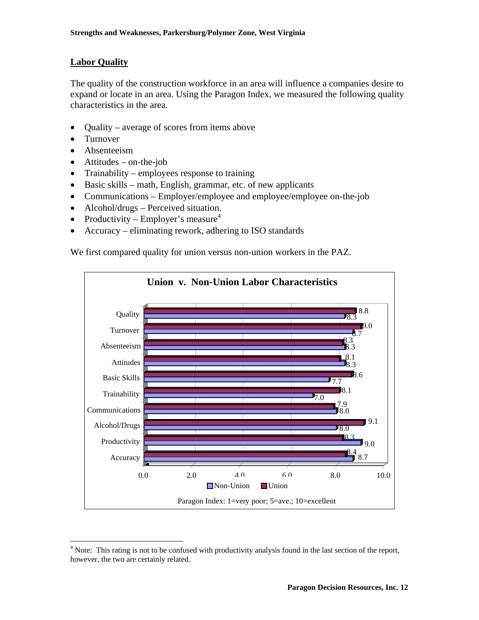## **Labor Quality**

The quality of the construction workforce in an area will influence a companies desire to expand or locate in an area. Using the Paragon Index, we measured the following quality characteristics in the area.

- Quality average of scores from items above
- Turnover

1

- Absenteeism
- $\bullet$  Attitudes on-the-job
- Trainability employees response to training
- Basic skills math, English, grammar, etc. of new applicants
- Communications Employer/employee and employee/employee on-the-job
- Alcohol/drugs Perceived situation.
- Productivity Employer's measure<sup>[4](#page-11-0)</sup>
- Accuracy eliminating rework, adhering to ISO standards

We first compared quality for union versus non-union workers in the PAZ.



<span id="page-11-0"></span><sup>&</sup>lt;sup>4</sup> Note: This rating is not to be confused with productivity analysis found in the last section of the report, however, the two are certainly related.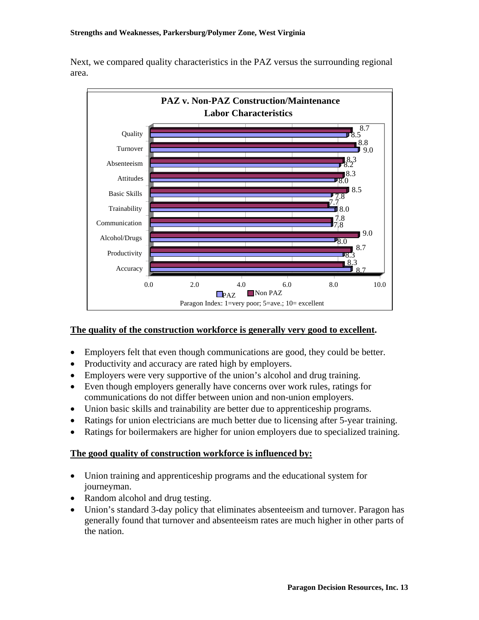Next, we compared quality characteristics in the PAZ versus the surrounding regional area.



## **The quality of the construction workforce is generally very good to excellent.**

- Employers felt that even though communications are good, they could be better.
- Productivity and accuracy are rated high by employers.
- Employers were very supportive of the union's alcohol and drug training.
- Even though employers generally have concerns over work rules, ratings for communications do not differ between union and non-union employers.
- Union basic skills and trainability are better due to apprenticeship programs.
- Ratings for union electricians are much better due to licensing after 5-year training.
- Ratings for boilermakers are higher for union employers due to specialized training.

## **The good quality of construction workforce is influenced by:**

- Union training and apprenticeship programs and the educational system for journeyman.
- Random alcohol and drug testing.
- Union's standard 3-day policy that eliminates absenteeism and turnover. Paragon has generally found that turnover and absenteeism rates are much higher in other parts of the nation.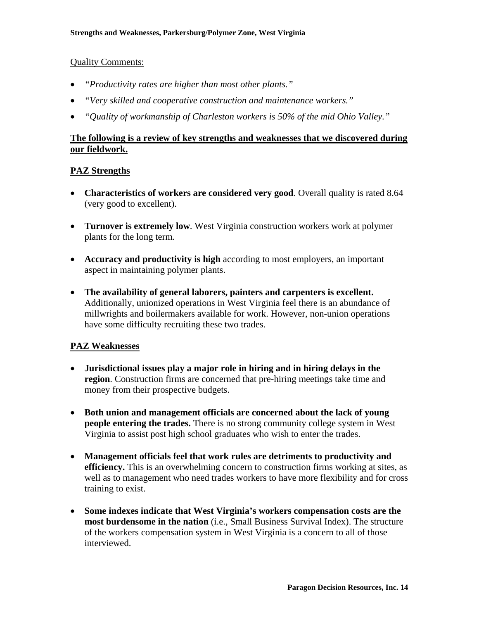## Quality Comments:

- *"Productivity rates are higher than most other plants."*
- *"Very skilled and cooperative construction and maintenance workers."*
- *"Quality of workmanship of Charleston workers is 50% of the mid Ohio Valley."*

## **The following is a review of key strengths and weaknesses that we discovered during our fieldwork.**

## **PAZ Strengths**

- **Characteristics of workers are considered very good**. Overall quality is rated 8.64 (very good to excellent).
- **Turnover is extremely low**. West Virginia construction workers work at polymer plants for the long term.
- **Accuracy and productivity is high** according to most employers, an important aspect in maintaining polymer plants.
- **The availability of general laborers, painters and carpenters is excellent.** Additionally, unionized operations in West Virginia feel there is an abundance of millwrights and boilermakers available for work. However, non-union operations have some difficulty recruiting these two trades.

## **PAZ Weaknesses**

- **Jurisdictional issues play a major role in hiring and in hiring delays in the region**. Construction firms are concerned that pre-hiring meetings take time and money from their prospective budgets.
- **Both union and management officials are concerned about the lack of young people entering the trades.** There is no strong community college system in West Virginia to assist post high school graduates who wish to enter the trades.
- **Management officials feel that work rules are detriments to productivity and efficiency.** This is an overwhelming concern to construction firms working at sites, as well as to management who need trades workers to have more flexibility and for cross training to exist.
- **Some indexes indicate that West Virginia's workers compensation costs are the most burdensome in the nation** (i.e., Small Business Survival Index). The structure of the workers compensation system in West Virginia is a concern to all of those interviewed.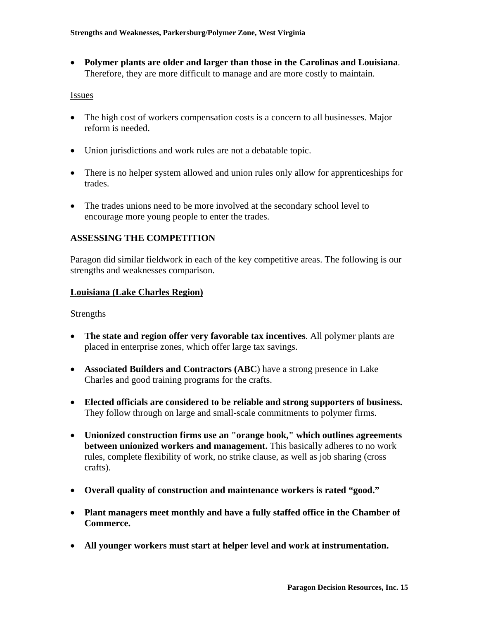• **Polymer plants are older and larger than those in the Carolinas and Louisiana**. Therefore, they are more difficult to manage and are more costly to maintain.

#### Issues

- The high cost of workers compensation costs is a concern to all businesses. Major reform is needed.
- Union jurisdictions and work rules are not a debatable topic.
- There is no helper system allowed and union rules only allow for apprenticeships for trades.
- The trades unions need to be more involved at the secondary school level to encourage more young people to enter the trades.

## **ASSESSING THE COMPETITION**

Paragon did similar fieldwork in each of the key competitive areas. The following is our strengths and weaknesses comparison.

## **Louisiana (Lake Charles Region)**

#### **Strengths**

- **The state and region offer very favorable tax incentives**. All polymer plants are placed in enterprise zones, which offer large tax savings.
- **Associated Builders and Contractors (ABC)** have a strong presence in Lake Charles and good training programs for the crafts.
- **Elected officials are considered to be reliable and strong supporters of business.** They follow through on large and small-scale commitments to polymer firms.
- **Unionized construction firms use an "orange book," which outlines agreements between unionized workers and management.** This basically adheres to no work rules, complete flexibility of work, no strike clause, as well as job sharing (cross crafts).
- **Overall quality of construction and maintenance workers is rated "good."**
- **Plant managers meet monthly and have a fully staffed office in the Chamber of Commerce.**
- **All younger workers must start at helper level and work at instrumentation.**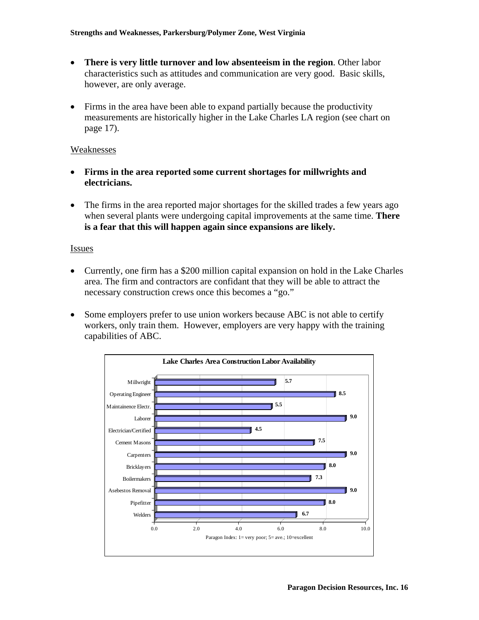- **There is very little turnover and low absenteeism in the region**. Other labor characteristics such as attitudes and communication are very good. Basic skills, however, are only average.
- Firms in the area have been able to expand partially because the productivity measurements are historically higher in the Lake Charles LA region (see chart on page 17).

#### Weaknesses

- **Firms in the area reported some current shortages for millwrights and electricians.**
- The firms in the area reported major shortages for the skilled trades a few years ago when several plants were undergoing capital improvements at the same time. **There is a fear that this will happen again since expansions are likely.**

#### **Issues**

- Currently, one firm has a \$200 million capital expansion on hold in the Lake Charles area. The firm and contractors are confidant that they will be able to attract the necessary construction crews once this becomes a "go."
- Some employers prefer to use union workers because ABC is not able to certify workers, only train them. However, employers are very happy with the training capabilities of ABC.

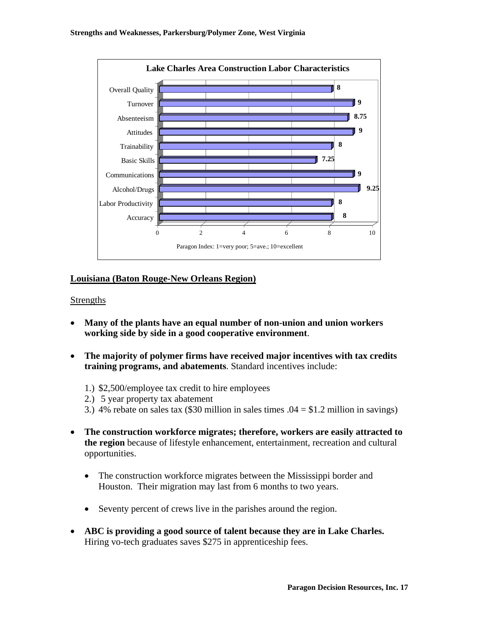

## **Louisiana (Baton Rouge-New Orleans Region)**

#### **Strengths**

- **Many of the plants have an equal number of non-union and union workers working side by side in a good cooperative environment**.
- **The majority of polymer firms have received major incentives with tax credits training programs, and abatements**. Standard incentives include:
	- 1.) \$2,500/employee tax credit to hire employees
	- 2.) 5 year property tax abatement
	- 3.) 4% rebate on sales tax (\$30 million in sales times  $.04 = $1.2$  million in savings)
- **The construction workforce migrates; therefore, workers are easily attracted to the region** because of lifestyle enhancement, entertainment, recreation and cultural opportunities.
	- The construction workforce migrates between the Mississippi border and Houston. Their migration may last from 6 months to two years.
	- Seventy percent of crews live in the parishes around the region.
- **ABC is providing a good source of talent because they are in Lake Charles.** Hiring vo-tech graduates saves \$275 in apprenticeship fees.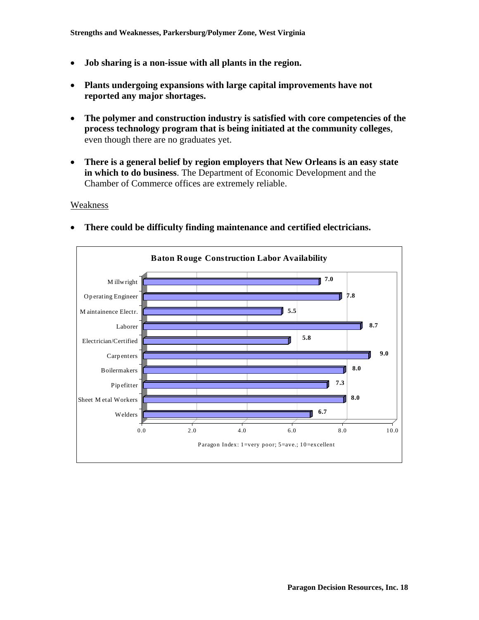- **Job sharing is a non-issue with all plants in the region.**
- **Plants undergoing expansions with large capital improvements have not reported any major shortages.**
- **The polymer and construction industry is satisfied with core competencies of the process technology program that is being initiated at the community colleges**, even though there are no graduates yet.
- **There is a general belief by region employers that New Orleans is an easy state in which to do business**. The Department of Economic Development and the Chamber of Commerce offices are extremely reliable.

#### Weakness



• **There could be difficulty finding maintenance and certified electricians.**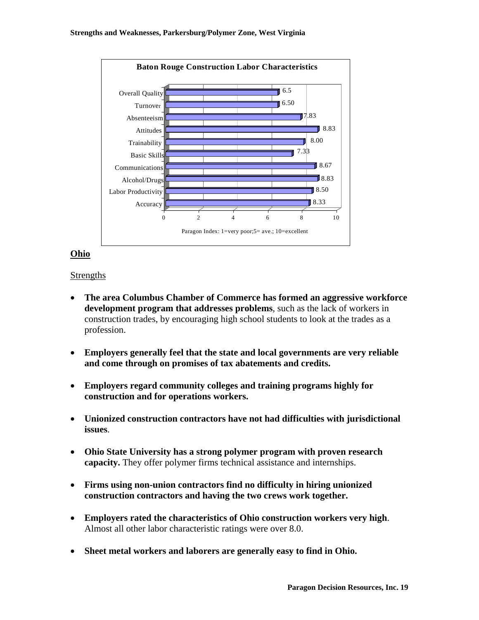

## **Ohio**

## Strengths

- **The area Columbus Chamber of Commerce has formed an aggressive workforce development program that addresses problems**, such as the lack of workers in construction trades, by encouraging high school students to look at the trades as a profession.
- **Employers generally feel that the state and local governments are very reliable and come through on promises of tax abatements and credits.**
- **Employers regard community colleges and training programs highly for construction and for operations workers.**
- **Unionized construction contractors have not had difficulties with jurisdictional issues**.
- **Ohio State University has a strong polymer program with proven research capacity.** They offer polymer firms technical assistance and internships.
- **Firms using non-union contractors find no difficulty in hiring unionized construction contractors and having the two crews work together.**
- **Employers rated the characteristics of Ohio construction workers very high**. Almost all other labor characteristic ratings were over 8.0.
- **Sheet metal workers and laborers are generally easy to find in Ohio.**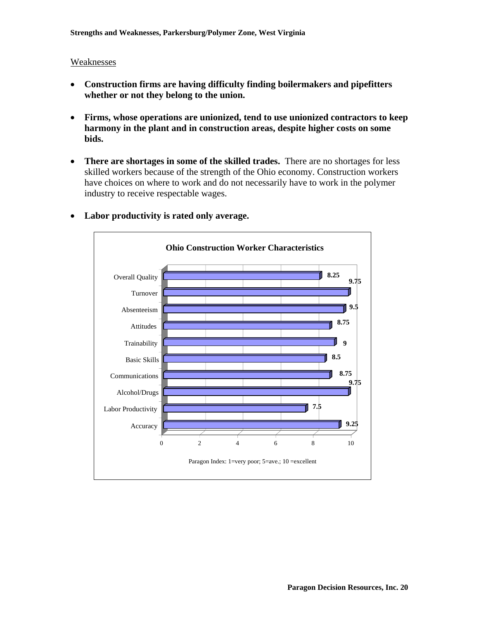#### Weaknesses

- **Construction firms are having difficulty finding boilermakers and pipefitters whether or not they belong to the union.**
- **Firms, whose operations are unionized, tend to use unionized contractors to keep harmony in the plant and in construction areas, despite higher costs on some bids.**
- **There are shortages in some of the skilled trades.** There are no shortages for less skilled workers because of the strength of the Ohio economy. Construction workers have choices on where to work and do not necessarily have to work in the polymer industry to receive respectable wages.



## • **Labor productivity is rated only average.**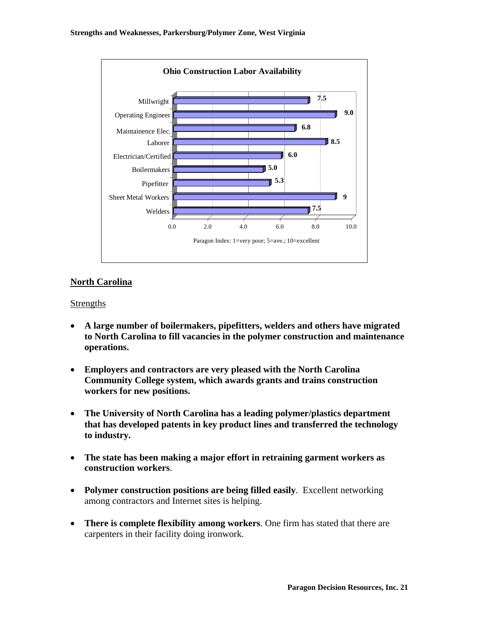

## **North Carolina**

## **Strengths**

- **A large number of boilermakers, pipefitters, welders and others have migrated to North Carolina to fill vacancies in the polymer construction and maintenance operations.**
- **Employers and contractors are very pleased with the North Carolina Community College system, which awards grants and trains construction workers for new positions.**
- **The University of North Carolina has a leading polymer/plastics department that has developed patents in key product lines and transferred the technology to industry.**
- **The state has been making a major effort in retraining garment workers as construction workers**.
- **Polymer construction positions are being filled easily**. Excellent networking among contractors and Internet sites is helping.
- **There is complete flexibility among workers**. One firm has stated that there are carpenters in their facility doing ironwork.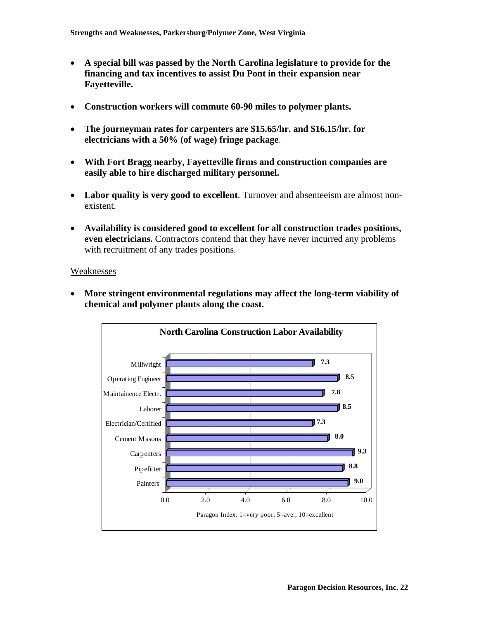- **A special bill was passed by the North Carolina legislature to provide for the financing and tax incentives to assist Du Pont in their expansion near Fayetteville.**
- **Construction workers will commute 60-90 miles to polymer plants.**
- **The journeyman rates for carpenters are \$15.65/hr. and \$16.15/hr. for electricians with a 50% (of wage) fringe package**.
- **With Fort Bragg nearby, Fayetteville firms and construction companies are easily able to hire discharged military personnel.**
- **Labor quality is very good to excellent**. Turnover and absenteeism are almost nonexistent.
- **Availability is considered good to excellent for all construction trades positions, even electricians.** Contractors contend that they have never incurred any problems with recruitment of any trades positions.

Weaknesses



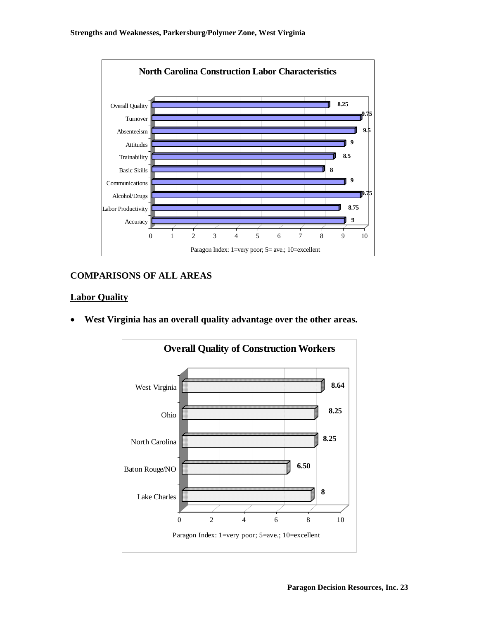

## **COMPARISONS OF ALL AREAS**

## **Labor Quality**

• **West Virginia has an overall quality advantage over the other areas.**

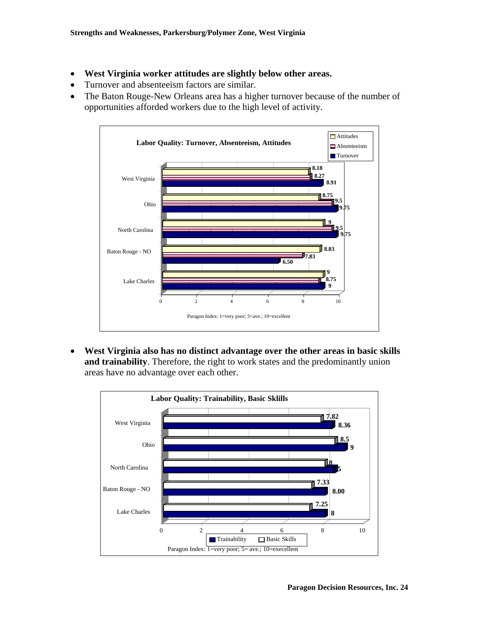- **West Virginia worker attitudes are slightly below other areas.**
- Turnover and absenteeism factors are similar.
- The Baton Rouge-New Orleans area has a higher turnover because of the number of opportunities afforded workers due to the high level of activity.



• **West Virginia also has no distinct advantage over the other areas in basic skills and trainability**. Therefore, the right to work states and the predominantly union areas have no advantage over each other.

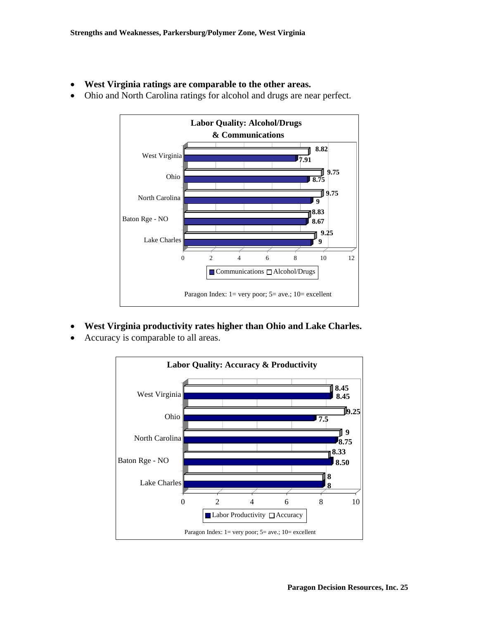• **West Virginia ratings are comparable to the other areas.**



• Ohio and North Carolina ratings for alcohol and drugs are near perfect.

- **West Virginia productivity rates higher than Ohio and Lake Charles.**
- Accuracy is comparable to all areas.

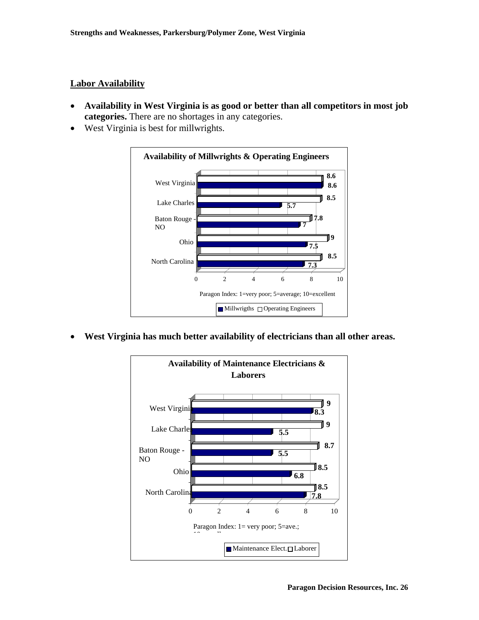## **Labor Availability**

- **Availability in West Virginia is as good or better than all competitors in most job categories.** There are no shortages in any categories.
- West Virginia is best for millwrights.



• **West Virginia has much better availability of electricians than all other areas.** 

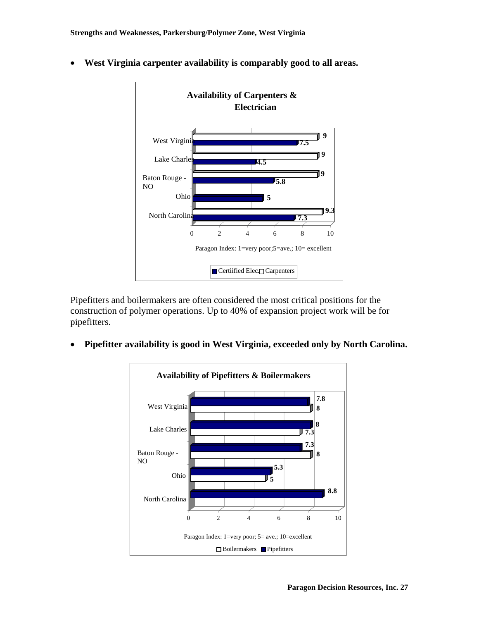

• **West Virginia carpenter availability is comparably good to all areas.** 

Pipefitters and boilermakers are often considered the most critical positions for the construction of polymer operations. Up to 40% of expansion project work will be for pipefitters.

• **Pipefitter availability is good in West Virginia, exceeded only by North Carolina.** 

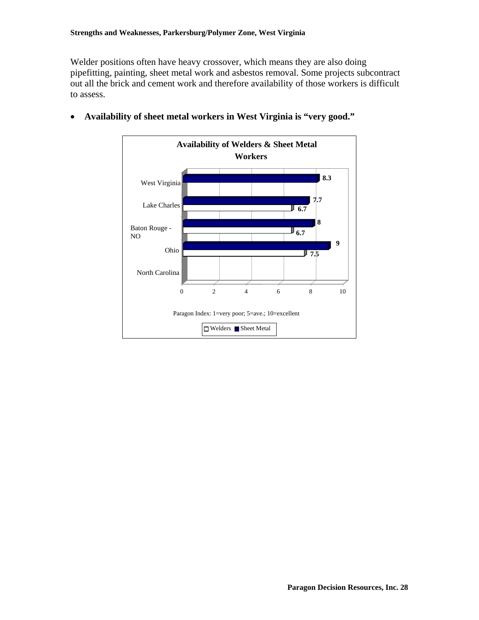Welder positions often have heavy crossover, which means they are also doing pipefitting, painting, sheet metal work and asbestos removal. Some projects subcontract out all the brick and cement work and therefore availability of those workers is difficult to assess.



• **Availability of sheet metal workers in West Virginia is "very good."**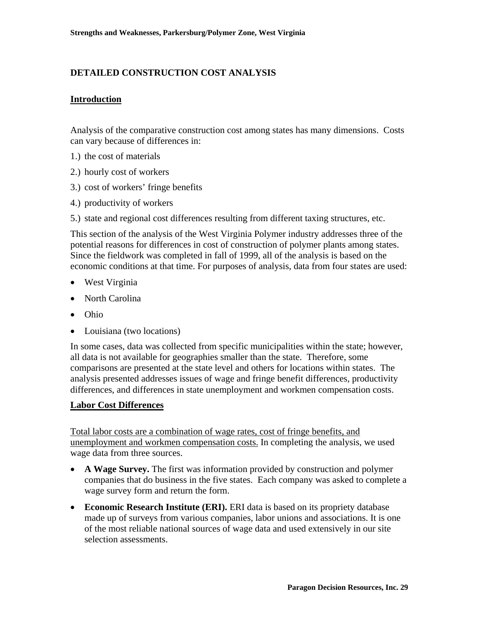## **DETAILED CONSTRUCTION COST ANALYSIS**

#### **Introduction**

Analysis of the comparative construction cost among states has many dimensions. Costs can vary because of differences in:

- 1.) the cost of materials
- 2.) hourly cost of workers
- 3.) cost of workers' fringe benefits
- 4.) productivity of workers
- 5.) state and regional cost differences resulting from different taxing structures, etc.

This section of the analysis of the West Virginia Polymer industry addresses three of the potential reasons for differences in cost of construction of polymer plants among states. Since the fieldwork was completed in fall of 1999, all of the analysis is based on the economic conditions at that time. For purposes of analysis, data from four states are used:

- West Virginia
- North Carolina
- Ohio
- Louisiana (two locations)

In some cases, data was collected from specific municipalities within the state; however, all data is not available for geographies smaller than the state. Therefore, some comparisons are presented at the state level and others for locations within states. The analysis presented addresses issues of wage and fringe benefit differences, productivity differences, and differences in state unemployment and workmen compensation costs.

#### **Labor Cost Differences**

Total labor costs are a combination of wage rates, cost of fringe benefits, and unemployment and workmen compensation costs. In completing the analysis, we used wage data from three sources.

- **A Wage Survey.** The first was information provided by construction and polymer companies that do business in the five states. Each company was asked to complete a wage survey form and return the form.
- **Economic Research Institute (ERI).** ERI data is based on its propriety database made up of surveys from various companies, labor unions and associations. It is one of the most reliable national sources of wage data and used extensively in our site selection assessments.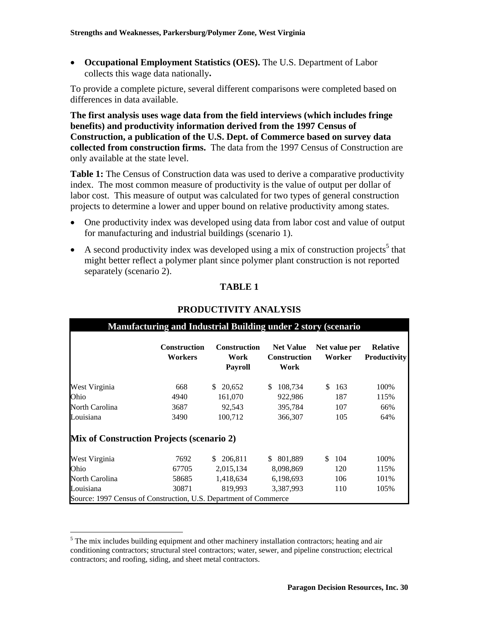• **Occupational Employment Statistics (OES).** The U.S. Department of Labor collects this wage data nationally**.**

To provide a complete picture, several different comparisons were completed based on differences in data available.

**The first analysis uses wage data from the field interviews (which includes fringe benefits) and productivity information derived from the 1997 Census of Construction, a publication of the U.S. Dept. of Commerce based on survey data collected from construction firms.** The data from the 1997 Census of Construction are only available at the state level.

**Table 1:** The Census of Construction data was used to derive a comparative productivity index.The most common measure of productivity is the value of output per dollar of labor cost. This measure of output was calculated for two types of general construction projects to determine a lower and upper bound on relative productivity among states.

- One productivity index was developed using data from labor cost and value of output for manufacturing and industrial buildings (scenario 1).
- A second productivity index was developed using a mix of construction projects<sup>[5](#page-29-0)</sup> that might better reflect a polymer plant since polymer plant construction is not reported separately (scenario 2).

## **TABLE 1**

|                | <b>Construction</b><br><b>Workers</b>     | <b>Construction</b><br>Work<br><b>Payroll</b> | <b>Net Value</b><br><b>Construction</b><br>Work | Net value per<br>Worker |     | <b>Relative</b><br><b>Productivity</b> |  |
|----------------|-------------------------------------------|-----------------------------------------------|-------------------------------------------------|-------------------------|-----|----------------------------------------|--|
| West Virginia  | 668                                       | 20,652<br>\$.                                 | \$<br>108,734                                   | \$.                     | 163 | 100%                                   |  |
| Ohio           | 4940                                      | 161,070                                       | 922,986                                         |                         | 187 | 115%                                   |  |
| North Carolina | 3687                                      | 92,543                                        | 395,784                                         |                         | 107 | 66%                                    |  |
| Louisiana      | 3490                                      | 100,712                                       | 366,307                                         |                         | 105 | 64%                                    |  |
|                | Mix of Construction Projects (scenario 2) |                                               |                                                 |                         |     |                                        |  |
| West Virginia  | 7692                                      | 206,811<br>S.                                 | \$ 801,889                                      | S.                      | 104 | 100%                                   |  |
| Ohio           | 67705                                     | 2,015,134                                     | 8,098,869                                       |                         | 120 | 115%                                   |  |
| North Carolina | 58685                                     | 1,418,634                                     | 6,198,693                                       |                         | 106 | 101%                                   |  |
| Louisiana      | 30871                                     | 819,993                                       | 3,387,993                                       |                         | 110 | 105%                                   |  |

## **PRODUCTIVITY ANALYSIS**

 $\overline{a}$ 

<span id="page-29-0"></span> $<sup>5</sup>$  The mix includes building equipment and other machinery installation contractors; heating and air</sup> conditioning contractors; structural steel contractors; water, sewer, and pipeline construction; electrical contractors; and roofing, siding, and sheet metal contractors.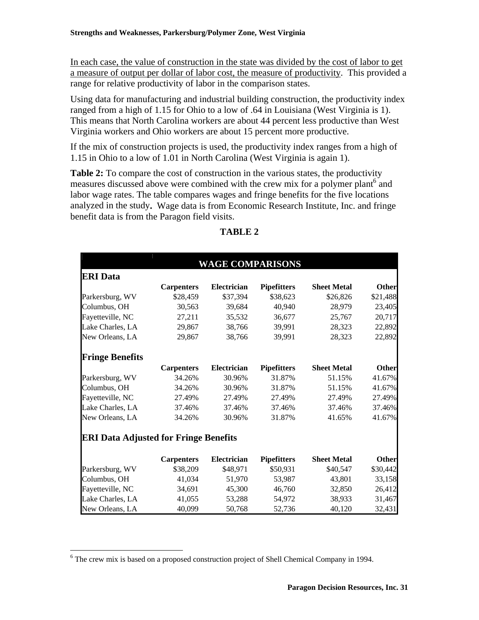In each case, the value of construction in the state was divided by the cost of labor to get a measure of output per dollar of labor cost, the measure of productivity. This provided a range for relative productivity of labor in the comparison states.

Using data for manufacturing and industrial building construction, the productivity index ranged from a high of 1.15 for Ohio to a low of .64 in Louisiana (West Virginia is 1). This means that North Carolina workers are about 44 percent less productive than West Virginia workers and Ohio workers are about 15 percent more productive.

If the mix of construction projects is used, the productivity index ranges from a high of 1.15 in Ohio to a low of 1.01 in North Carolina (West Virginia is again 1).

**Table 2:** To compare the cost of construction in the various states, the productivity measures discussed above were combined with the crew mix for a polymer plant<sup>[6](#page-30-0)</sup> and labor wage rates. The table compares wages and fringe benefits for the five locations analyzed in the study**.** Wage data is from Economic Research Institute, Inc. and fringe benefit data is from the Paragon field visits.

|                                              |                   | <b>WAGE COMPARISONS</b> |                    |                    |              |
|----------------------------------------------|-------------------|-------------------------|--------------------|--------------------|--------------|
| <b>ERI</b> Data                              |                   |                         |                    |                    |              |
|                                              | <b>Carpenters</b> | Electrician             | <b>Pipefitters</b> | <b>Sheet Metal</b> | <b>Other</b> |
| Parkersburg, WV                              | \$28,459          | \$37,394                | \$38,623           | \$26,826           | \$21,488     |
| Columbus, OH                                 | 30,563            | 39,684                  | 40,940             | 28,979             | 23,405       |
| Fayetteville, NC                             | 27,211            | 35,532                  | 36,677             | 25,767             | 20,717       |
| Lake Charles, LA                             | 29,867            | 38,766                  | 39,991             | 28,323             | 22,892       |
| New Orleans, LA                              | 29,867            | 38,766                  | 39,991             | 28,323             | 22,892       |
| <b>Fringe Benefits</b>                       |                   |                         |                    |                    |              |
|                                              | <b>Carpenters</b> | Electrician             | <b>Pipefitters</b> | <b>Sheet Metal</b> | <b>Other</b> |
| Parkersburg, WV                              | 34.26%            | 30.96%                  | 31.87%             | 51.15%             | 41.67%       |
| Columbus, OH                                 | 34.26%            | 30.96%                  | 31.87%             | 51.15%             | 41.67%       |
| Fayetteville, NC                             | 27.49%            | 27.49%                  | 27.49%             | 27.49%             | 27.49%       |
| Lake Charles, LA                             | 37.46%            | 37.46%                  | 37.46%             | 37.46%             | 37.46%       |
| New Orleans, LA                              | 34.26%            | 30.96%                  | 31.87%             | 41.65%             | 41.67%       |
| <b>ERI Data Adjusted for Fringe Benefits</b> |                   |                         |                    |                    |              |
|                                              | <b>Carpenters</b> | Electrician             | <b>Pipefitters</b> | <b>Sheet Metal</b> | <b>Other</b> |
| Parkersburg, WV                              | \$38,209          | \$48,971                | \$50,931           | \$40,547           | \$30,442     |
| Columbus, OH                                 | 41,034            | 51,970                  | 53,987             | 43,801             | 33,158       |
| Fayetteville, NC                             | 34,691            | 45,300                  | 46,760             | 32,850             | 26,412       |
| Lake Charles, LA                             | 41,055            | 53,288                  | 54,972             | 38,933             | 31,467       |
| New Orleans, LA                              | 40,099            | 50,768                  | 52,736             | 40,120             | 32,431       |

## **TABLE 2**

 $\overline{a}$ 

<span id="page-30-0"></span> $6$  The crew mix is based on a proposed construction project of Shell Chemical Company in 1994.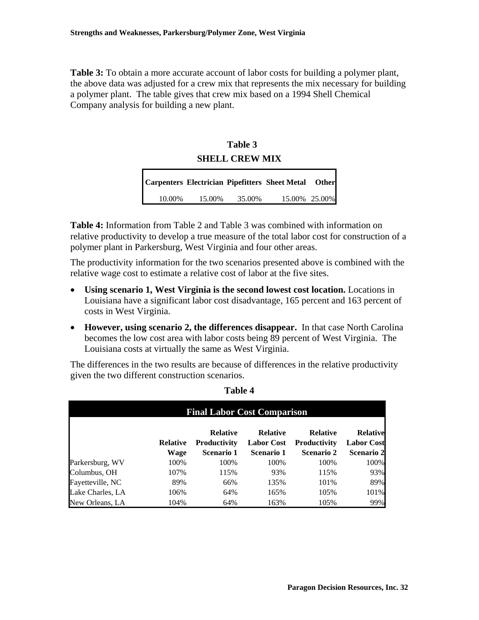**Table 3:** To obtain a more accurate account of labor costs for building a polymer plant, the above data was adjusted for a crew mix that represents the mix necessary for building a polymer plant. The table gives that crew mix based on a 1994 Shell Chemical Company analysis for building a new plant.

# **SHELL CREW MIX Table 3**

|        |        |        | Carpenters Electrician Pipefitters Sheet Metal Other |  |
|--------|--------|--------|------------------------------------------------------|--|
| 10.00% | 15.00% | 35.00% | 15.00% 25.00%                                        |  |

**Table 4:** Information from Table 2 and Table 3 was combined with information on relative productivity to develop a true measure of the total labor cost for construction of a polymer plant in Parkersburg, West Virginia and four other areas.

The productivity information for the two scenarios presented above is combined with the relative wage cost to estimate a relative cost of labor at the five sites.

- **Using scenario 1, West Virginia is the second lowest cost location.** Locations in Louisiana have a significant labor cost disadvantage, 165 percent and 163 percent of costs in West Virginia.
- **However, using scenario 2, the differences disappear.** In that case North Carolina becomes the low cost area with labor costs being 89 percent of West Virginia. The Louisiana costs at virtually the same as West Virginia.

The differences in the two results are because of differences in the relative productivity given the two different construction scenarios.

|                  |                         | <b>Final Labor Cost Comparison</b>                   |                                                    |                                                             |                                                           |
|------------------|-------------------------|------------------------------------------------------|----------------------------------------------------|-------------------------------------------------------------|-----------------------------------------------------------|
|                  | <b>Relative</b><br>Wage | <b>Relative</b><br><b>Productivity</b><br>Scenario 1 | <b>Relative</b><br><b>Labor Cost</b><br>Scenario 1 | <b>Relative</b><br><b>Productivity</b><br><b>Scenario 2</b> | <b>Relative</b><br><b>Labor Cost</b><br><b>Scenario 2</b> |
| Parkersburg, WV  | 100%                    | 100%                                                 | 100%                                               | 100%                                                        | 100%                                                      |
| Columbus, OH     | 107%                    | 115%                                                 | 93%                                                | 115%                                                        | 93%                                                       |
| Fayetteville, NC | 89%                     | 66%                                                  | 135%                                               | 101%                                                        | 89%                                                       |
| Lake Charles, LA | 106%                    | 64%                                                  | 165%                                               | 105%                                                        | 101%                                                      |
| New Orleans, LA  | 104%                    | 64%                                                  | 163%                                               | 105%                                                        | 99%                                                       |

#### **Table 4**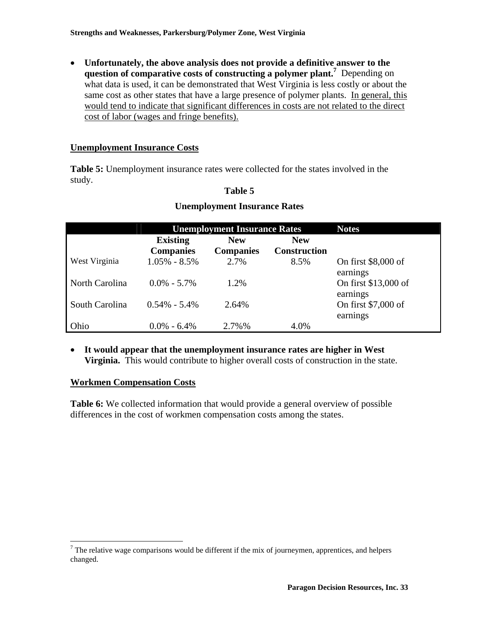• **Unfortunately, the above analysis does not provide a definitive answer to the question of comparative costs of constructing a polymer plant[.7](#page-32-0)** Depending on what data is used, it can be demonstrated that West Virginia is less costly or about the same cost as other states that have a large presence of polymer plants. In general, this would tend to indicate that significant differences in costs are not related to the direct cost of labor (wages and fringe benefits).

## **Unemployment Insurance Costs**

**Table 5:** Unemployment insurance rates were collected for the states involved in the study.

## **Table 5**

|                | <b>Unemployment Insurance Rates</b> |                                |                                   | <b>Notes</b>                     |
|----------------|-------------------------------------|--------------------------------|-----------------------------------|----------------------------------|
|                | <b>Existing</b><br><b>Companies</b> | <b>New</b><br><b>Companies</b> | <b>New</b><br><b>Construction</b> |                                  |
| West Virginia  | $1.05\% - 8.5\%$                    | 2.7%                           | 8.5%                              | On first \$8,000 of<br>earnings  |
| North Carolina | $0.0\% - 5.7\%$                     | 1.2%                           |                                   | On first \$13,000 of<br>earnings |
| South Carolina | $0.54\% - 5.4\%$                    | 2.64%                          |                                   | On first \$7,000 of<br>earnings  |
| Ohio           | $0.0\% - 6.4\%$                     | 2.7%%                          | 4.0%                              |                                  |

## **Unemployment Insurance Rates**

• **It would appear that the unemployment insurance rates are higher in West Virginia.** This would contribute to higher overall costs of construction in the state.

## **Workmen Compensation Costs**

**Table 6:** We collected information that would provide a general overview of possible differences in the cost of workmen compensation costs among the states.

<span id="page-32-0"></span><sup>&</sup>lt;sup>7</sup> The relative wage comparisons would be different if the mix of journeymen, apprentices, and helpers changed.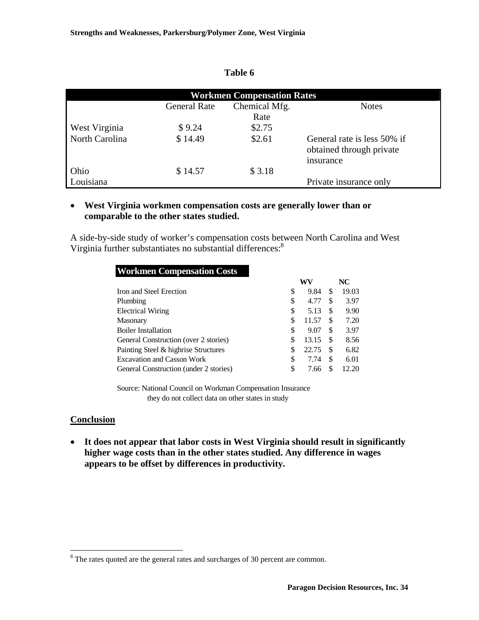|                |                     | <b>Workmen Compensation Rates</b> |                                                                      |
|----------------|---------------------|-----------------------------------|----------------------------------------------------------------------|
|                | <b>General Rate</b> | Chemical Mfg.<br>Rate             | <b>Notes</b>                                                         |
| West Virginia  | \$9.24              | \$2.75                            |                                                                      |
| North Carolina | \$14.49             | \$2.61                            | General rate is less 50% if<br>obtained through private<br>insurance |
| Ohio           | \$14.57             | \$3.18                            |                                                                      |
| Louisiana      |                     |                                   | Private insurance only                                               |

## **Table 6**

## • **West Virginia workmen compensation costs are generally lower than or comparable to the other states studied.**

A side-by-side study of worker's compensation costs between North Carolina and West Virginia further substantiates no substantial differences:<sup>8</sup>

| <b>Workmen Compensation Costs</b>      |    |       |     |       |
|----------------------------------------|----|-------|-----|-------|
|                                        |    | WV    |     | NC    |
| Iron and Steel Erection                | \$ | 9.84  | S   | 19.03 |
| Plumbing                               | \$ | 4.77  | S   | 3.97  |
| <b>Electrical Wiring</b>               | \$ | 5.13  | S   | 9.90  |
| <b>Masonary</b>                        | \$ | 11.57 | S   | 7.20  |
| <b>Boiler Installation</b>             | \$ | 9.07  | \$  | 3.97  |
| General Construction (over 2 stories)  | S  | 13.15 | \$. | 8.56  |
| Painting Steel & highrise Structures   | \$ | 22.75 | S   | 6.82  |
| <b>Excavation and Casson Work</b>      | \$ | 7.74  | \$  | 6.01  |
| General Construction (under 2 stories) | \$ | 7.66  | S   | 12.20 |

Source: National Council on Workman Compensation Insurance they do not collect data on other states in study

## **Conclusion**

 $\overline{a}$ 

• **It does not appear that labor costs in West Virginia should result in significantly higher wage costs than in the other states studied. Any difference in wages appears to be offset by differences in productivity.** 

<span id="page-33-0"></span> $8<sup>8</sup>$  The rates quoted are the general rates and surcharges of 30 percent are common.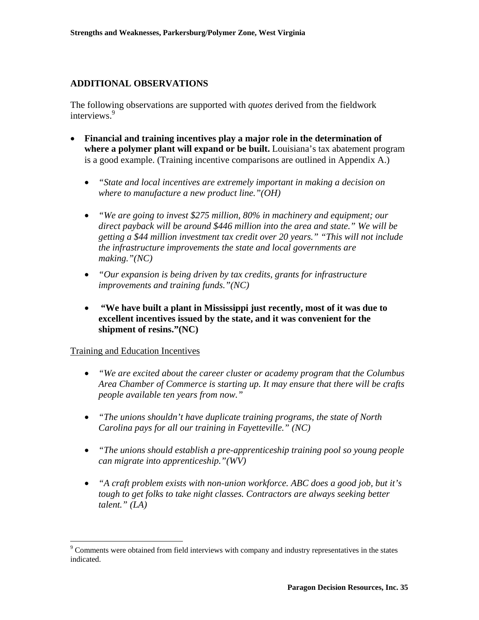## **ADDITIONAL OBSERVATIONS**

The following observations are supported with *quotes* derived from the fieldwork interviews.<sup>9</sup>

- **Financial and training incentives play a major role in the determination of where a polymer plant will expand or be built.** Louisiana's tax abatement program is a good example. (Training incentive comparisons are outlined in Appendix A.)
	- *"State and local incentives are extremely important in making a decision on where to manufacture a new product line."(OH)*
	- *"We are going to invest \$275 million, 80% in machinery and equipment; our direct payback will be around \$446 million into the area and state." We will be getting a \$44 million investment tax credit over 20 years." "This will not include the infrastructure improvements the state and local governments are making."(NC)*
	- *"Our expansion is being driven by tax credits, grants for infrastructure improvements and training funds."(NC)*
	- • **"We have built a plant in Mississippi just recently, most of it was due to excellent incentives issued by the state, and it was convenient for the shipment of resins."(NC)**

Training and Education Incentives

1

- *"We are excited about the career cluster or academy program that the Columbus Area Chamber of Commerce is starting up. It may ensure that there will be crafts people available ten years from now."*
- *"The unions shouldn't have duplicate training programs, the state of North Carolina pays for all our training in Fayetteville." (NC)*
- *"The unions should establish a pre-apprenticeship training pool so young people can migrate into apprenticeship."(WV)*
- *"A craft problem exists with non-union workforce. ABC does a good job, but it's tough to get folks to take night classes. Contractors are always seeking better talent." (LA)*

<span id="page-34-0"></span><sup>&</sup>lt;sup>9</sup> Comments were obtained from field interviews with company and industry representatives in the states indicated.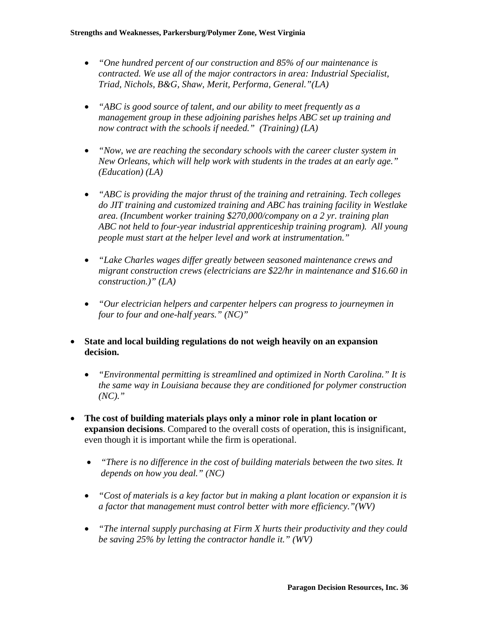- *"One hundred percent of our construction and 85% of our maintenance is contracted. We use all of the major contractors in area: Industrial Specialist, Triad, Nichols, B&G, Shaw, Merit, Performa, General."(LA)*
- *"ABC is good source of talent, and our ability to meet frequently as a management group in these adjoining parishes helps ABC set up training and now contract with the schools if needed." (Training) (LA)*
- *"Now, we are reaching the secondary schools with the career cluster system in New Orleans, which will help work with students in the trades at an early age." (Education) (LA)*
- *"ABC is providing the major thrust of the training and retraining. Tech colleges do JIT training and customized training and ABC has training facility in Westlake area. (Incumbent worker training \$270,000/company on a 2 yr. training plan ABC not held to four-year industrial apprenticeship training program). All young people must start at the helper level and work at instrumentation."*
- *"Lake Charles wages differ greatly between seasoned maintenance crews and migrant construction crews (electricians are \$22/hr in maintenance and \$16.60 in construction.)" (LA)*
- *"Our electrician helpers and carpenter helpers can progress to journeymen in four to four and one-half years." (NC)"*
- **State and local building regulations do not weigh heavily on an expansion decision.**
	- *"Environmental permitting is streamlined and optimized in North Carolina." It is the same way in Louisiana because they are conditioned for polymer construction (NC)."*
- **The cost of building materials plays only a minor role in plant location or expansion decisions**. Compared to the overall costs of operation, this is insignificant, even though it is important while the firm is operational.
	- *"There is no difference in the cost of building materials between the two sites. It depends on how you deal." (NC)*
	- *"Cost of materials is a key factor but in making a plant location or expansion it is a factor that management must control better with more efficiency."(WV)*
	- *"The internal supply purchasing at Firm X hurts their productivity and they could be saving 25% by letting the contractor handle it." (WV)*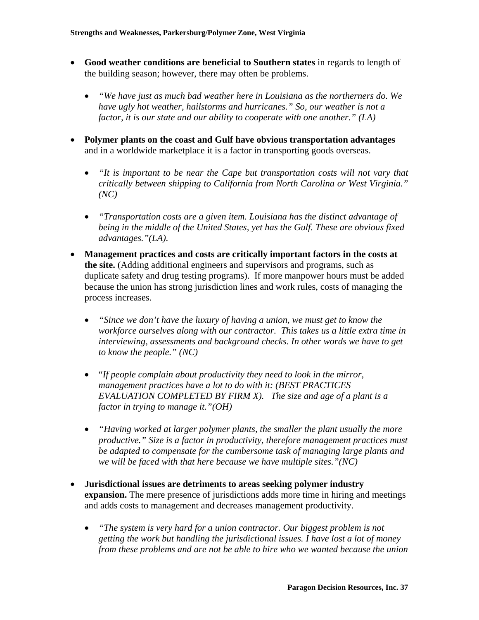- **Good weather conditions are beneficial to Southern states** in regards to length of the building season; however, there may often be problems.
	- *"We have just as much bad weather here in Louisiana as the northerners do. We have ugly hot weather, hailstorms and hurricanes." So, our weather is not a factor, it is our state and our ability to cooperate with one another." (LA)*
- **Polymer plants on the coast and Gulf have obvious transportation advantages** and in a worldwide marketplace it is a factor in transporting goods overseas.
	- *"It is important to be near the Cape but transportation costs will not vary that critically between shipping to California from North Carolina or West Virginia." (NC)*
	- *"Transportation costs are a given item. Louisiana has the distinct advantage of being in the middle of the United States, yet has the Gulf. These are obvious fixed advantages."(LA).*
- **Management practices and costs are critically important factors in the costs at the site.** (Adding additional engineers and supervisors and programs, such as duplicate safety and drug testing programs).If more manpower hours must be added because the union has strong jurisdiction lines and work rules, costs of managing the process increases.
	- *"Since we don't have the luxury of having a union, we must get to know the workforce ourselves along with our contractor. This takes us a little extra time in interviewing, assessments and background checks. In other words we have to get to know the people." (NC)*
	- "*If people complain about productivity they need to look in the mirror, management practices have a lot to do with it: (BEST PRACTICES EVALUATION COMPLETED BY FIRM X). The size and age of a plant is a factor in trying to manage it."(OH)*
	- *"Having worked at larger polymer plants, the smaller the plant usually the more productive." Size is a factor in productivity, therefore management practices must be adapted to compensate for the cumbersome task of managing large plants and we will be faced with that here because we have multiple sites."(NC)*
- **Jurisdictional issues are detriments to areas seeking polymer industry expansion.** The mere presence of jurisdictions adds more time in hiring and meetings and adds costs to management and decreases management productivity.
	- *"The system is very hard for a union contractor. Our biggest problem is not getting the work but handling the jurisdictional issues. I have lost a lot of money from these problems and are not be able to hire who we wanted because the union*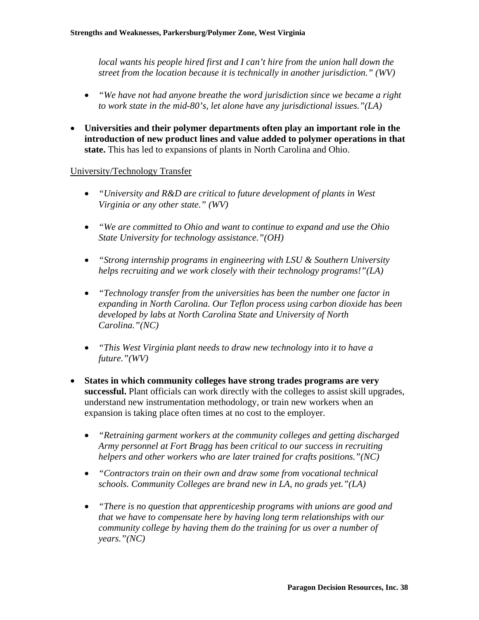*local wants his people hired first and I can't hire from the union hall down the street from the location because it is technically in another jurisdiction." (WV)*

- *"We have not had anyone breathe the word jurisdiction since we became a right to work state in the mid-80's, let alone have any jurisdictional issues."(LA)*
- **Universities and their polymer departments often play an important role in the introduction of new product lines and value added to polymer operations in that state.** This has led to expansions of plants in North Carolina and Ohio.

## University/Technology Transfer

- *"University and R&D are critical to future development of plants in West Virginia or any other state." (WV)*
- *"We are committed to Ohio and want to continue to expand and use the Ohio State University for technology assistance."(OH)*
- *"Strong internship programs in engineering with LSU & Southern University helps recruiting and we work closely with their technology programs!"(LA)*
- *"Technology transfer from the universities has been the number one factor in expanding in North Carolina. Our Teflon process using carbon dioxide has been developed by labs at North Carolina State and University of North Carolina."(NC)*
- *"This West Virginia plant needs to draw new technology into it to have a future."(WV)*
- **States in which community colleges have strong trades programs are very successful.** Plant officials can work directly with the colleges to assist skill upgrades, understand new instrumentation methodology, or train new workers when an expansion is taking place often times at no cost to the employer.
	- *"Retraining garment workers at the community colleges and getting discharged Army personnel at Fort Bragg has been critical to our success in recruiting helpers and other workers who are later trained for crafts positions."(NC)*
	- *"Contractors train on their own and draw some from vocational technical schools. Community Colleges are brand new in LA, no grads yet."(LA)*
	- *"There is no question that apprenticeship programs with unions are good and that we have to compensate here by having long term relationships with our community college by having them do the training for us over a number of years."(NC)*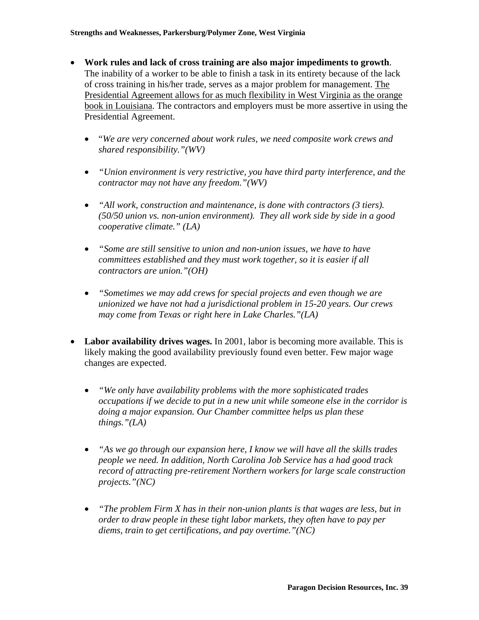- **Work rules and lack of cross training are also major impediments to growth**. The inability of a worker to be able to finish a task in its entirety because of the lack of cross training in his/her trade, serves as a major problem for management. The Presidential Agreement allows for as much flexibility in West Virginia as the orange book in Louisiana. The contractors and employers must be more assertive in using the Presidential Agreement.
	- "*We are very concerned about work rules, we need composite work crews and shared responsibility."(WV)*
	- *"Union environment is very restrictive, you have third party interference, and the contractor may not have any freedom."(WV)*
	- *"All work, construction and maintenance, is done with contractors (3 tiers). (50/50 union vs. non-union environment). They all work side by side in a good cooperative climate." (LA)*
	- *"Some are still sensitive to union and non-union issues, we have to have committees established and they must work together, so it is easier if all contractors are union."(OH)*
	- *"Sometimes we may add crews for special projects and even though we are unionized we have not had a jurisdictional problem in 15-20 years. Our crews may come from Texas or right here in Lake Charles."(LA)*
- **Labor availability drives wages.** In 2001, labor is becoming more available. This is likely making the good availability previously found even better. Few major wage changes are expected.
	- *"We only have availability problems with the more sophisticated trades occupations if we decide to put in a new unit while someone else in the corridor is doing a major expansion. Our Chamber committee helps us plan these things."(LA)*
	- *"As we go through our expansion here, I know we will have all the skills trades people we need. In addition, North Carolina Job Service has a had good track record of attracting pre-retirement Northern workers for large scale construction projects."(NC)*
	- *"The problem Firm X has in their non-union plants is that wages are less, but in order to draw people in these tight labor markets, they often have to pay per diems, train to get certifications, and pay overtime."(NC)*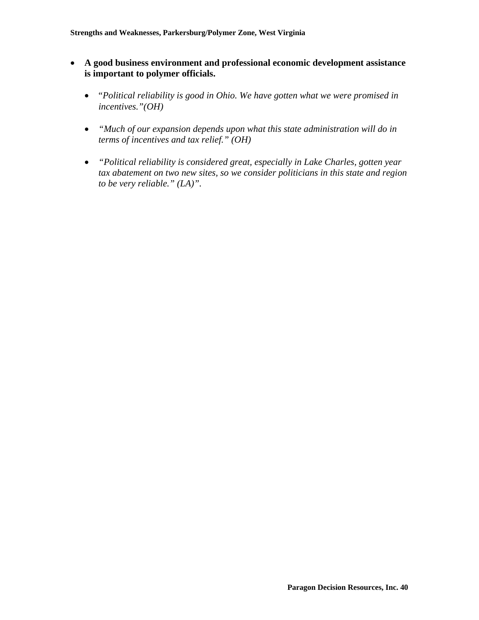- **A good business environment and professional economic development assistance is important to polymer officials.** 
	- "*Political reliability is good in Ohio. We have gotten what we were promised in incentives."(OH)*
	- *"Much of our expansion depends upon what this state administration will do in terms of incentives and tax relief." (OH)*
	- *"Political reliability is considered great, especially in Lake Charles, gotten year tax abatement on two new sites, so we consider politicians in this state and region to be very reliable." (LA)".*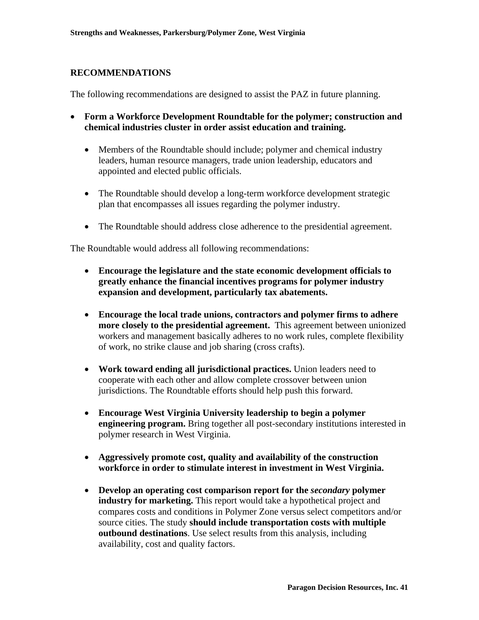## **RECOMMENDATIONS**

The following recommendations are designed to assist the PAZ in future planning.

- **Form a Workforce Development Roundtable for the polymer; construction and chemical industries cluster in order assist education and training.** 
	- Members of the Roundtable should include; polymer and chemical industry leaders, human resource managers, trade union leadership, educators and appointed and elected public officials.
	- The Roundtable should develop a long-term workforce development strategic plan that encompasses all issues regarding the polymer industry.
	- The Roundtable should address close adherence to the presidential agreement.

The Roundtable would address all following recommendations:

- **Encourage the legislature and the state economic development officials to greatly enhance the financial incentives programs for polymer industry expansion and development, particularly tax abatements.**
- **Encourage the local trade unions, contractors and polymer firms to adhere more closely to the presidential agreement.** This agreement between unionized workers and management basically adheres to no work rules, complete flexibility of work, no strike clause and job sharing (cross crafts).
- **Work toward ending all jurisdictional practices.** Union leaders need to cooperate with each other and allow complete crossover between union jurisdictions. The Roundtable efforts should help push this forward.
- **Encourage West Virginia University leadership to begin a polymer engineering program.** Bring together all post-secondary institutions interested in polymer research in West Virginia.
- **Aggressively promote cost, quality and availability of the construction workforce in order to stimulate interest in investment in West Virginia.**
- **Develop an operating cost comparison report for the** *secondary* **polymer industry for marketing.** This report would take a hypothetical project and compares costs and conditions in Polymer Zone versus select competitors and/or source cities. The study **should include transportation costs with multiple outbound destinations**. Use select results from this analysis, including availability, cost and quality factors.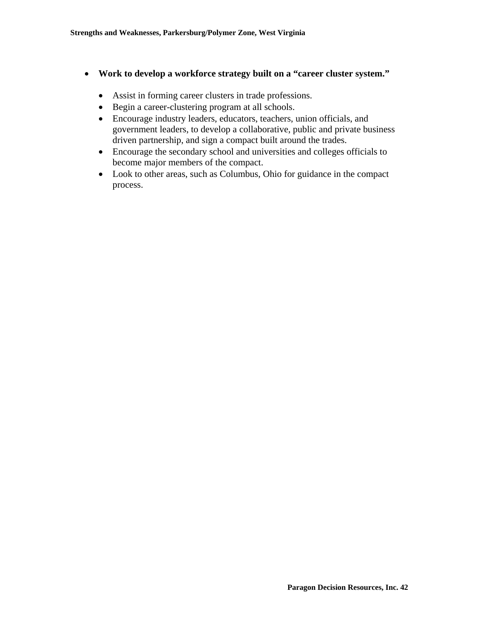- **Work to develop a workforce strategy built on a "career cluster system."**
	- Assist in forming career clusters in trade professions.
	- Begin a career-clustering program at all schools.
	- Encourage industry leaders, educators, teachers, union officials, and government leaders, to develop a collaborative, public and private business driven partnership, and sign a compact built around the trades.
	- Encourage the secondary school and universities and colleges officials to become major members of the compact.
	- Look to other areas, such as Columbus, Ohio for guidance in the compact process.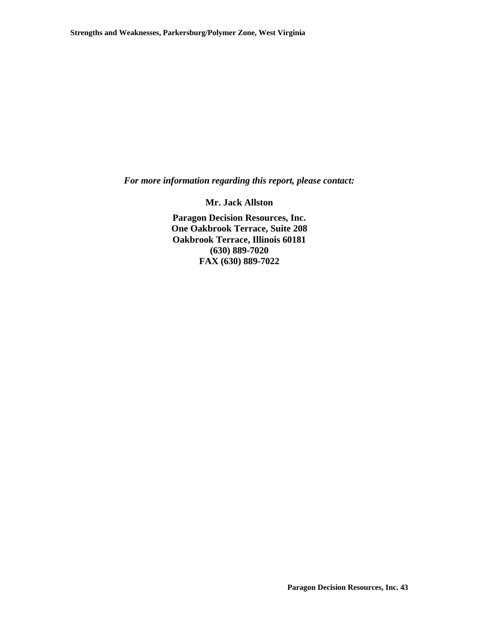*For more information regarding this report, please contact:* 

**Mr. Jack Allston** 

**Paragon Decision Resources, Inc. One Oakbrook Terrace, Suite 208 Oakbrook Terrace, Illinois 60181 (630) 889-7020 FAX (630) 889-7022**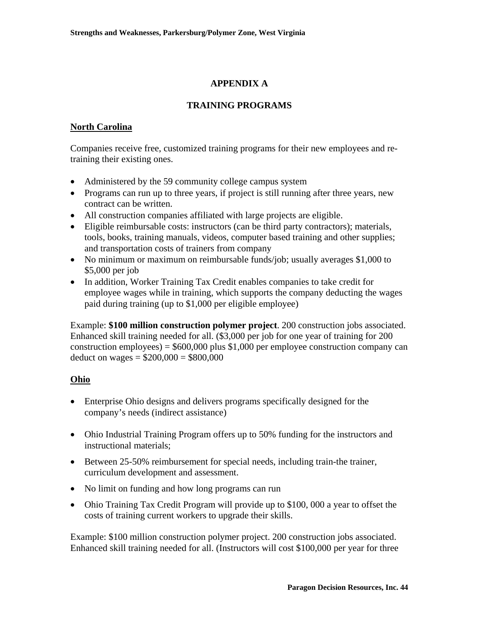# **APPENDIX A**

## **TRAINING PROGRAMS**

# **North Carolina**

Companies receive free, customized training programs for their new employees and retraining their existing ones.

- Administered by the 59 community college campus system
- Programs can run up to three years, if project is still running after three years, new contract can be written.
- All construction companies affiliated with large projects are eligible.
- Eligible reimbursable costs: instructors (can be third party contractors); materials, tools, books, training manuals, videos, computer based training and other supplies; and transportation costs of trainers from company
- No minimum or maximum on reimbursable funds/job; usually averages \$1,000 to \$5,000 per job
- In addition, Worker Training Tax Credit enables companies to take credit for employee wages while in training, which supports the company deducting the wages paid during training (up to \$1,000 per eligible employee)

Example: **\$100 million construction polymer project**. 200 construction jobs associated. Enhanced skill training needed for all. (\$3,000 per job for one year of training for 200 construction employees) =  $$600,000$  plus \$1,000 per employee construction company can deduct on wages =  $$200,000 = $800,000$ 

# **Ohio**

- Enterprise Ohio designs and delivers programs specifically designed for the company's needs (indirect assistance)
- Ohio Industrial Training Program offers up to 50% funding for the instructors and instructional materials;
- Between 25-50% reimbursement for special needs, including train-the trainer, curriculum development and assessment.
- No limit on funding and how long programs can run
- Ohio Training Tax Credit Program will provide up to \$100,000 a year to offset the costs of training current workers to upgrade their skills.

Example: \$100 million construction polymer project. 200 construction jobs associated. Enhanced skill training needed for all. (Instructors will cost \$100,000 per year for three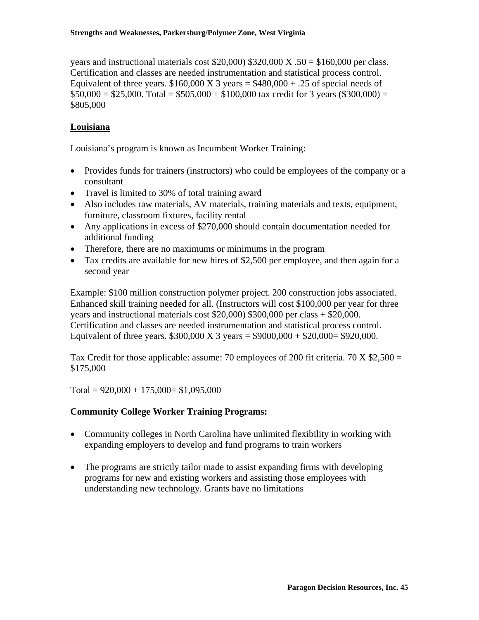years and instructional materials cost  $$20,000$   $$320,000$  X .50 = \$160,000 per class. Certification and classes are needed instrumentation and statistical process control. Equivalent of three years.  $$160,000 \text{ X } 3 \text{ years} = $480,000 + .25 \text{ of special needs of}$  $$50,000 = $25,000$ . Total = \$505,000 + \$100,000 tax credit for 3 years (\$300,000) = \$805,000

## **Louisiana**

Louisiana's program is known as Incumbent Worker Training:

- Provides funds for trainers (instructors) who could be employees of the company or a consultant
- Travel is limited to 30% of total training award
- Also includes raw materials, AV materials, training materials and texts, equipment, furniture, classroom fixtures, facility rental
- Any applications in excess of \$270,000 should contain documentation needed for additional funding
- Therefore, there are no maximums or minimums in the program
- Tax credits are available for new hires of \$2,500 per employee, and then again for a second year

Example: \$100 million construction polymer project. 200 construction jobs associated. Enhanced skill training needed for all. (Instructors will cost \$100,000 per year for three years and instructional materials cost \$20,000) \$300,000 per class + \$20,000. Certification and classes are needed instrumentation and statistical process control. Equivalent of three years.  $$300,000 \text{ X } 3 \text{ years} = $9000,000 + $20,000 = $920,000$ .

Tax Credit for those applicable: assume: 70 employees of 200 fit criteria. 70 X  $$2,500 =$ \$175,000

Total =  $920,000 + 175,000 = $1,095,000$ 

## **Community College Worker Training Programs:**

- Community colleges in North Carolina have unlimited flexibility in working with expanding employers to develop and fund programs to train workers
- The programs are strictly tailor made to assist expanding firms with developing programs for new and existing workers and assisting those employees with understanding new technology. Grants have no limitations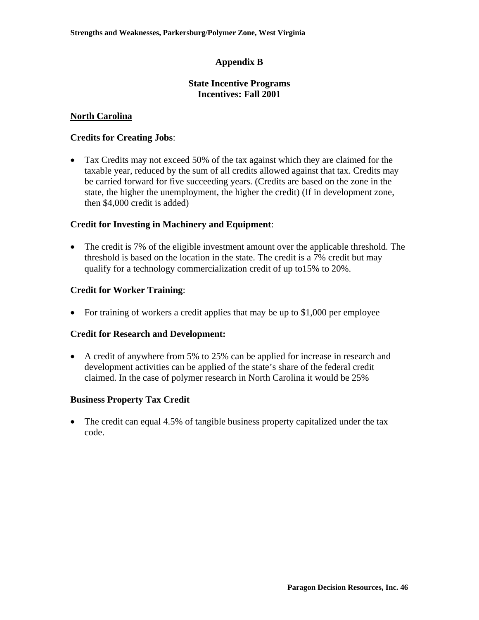## **Appendix B**

## **State Incentive Programs Incentives: Fall 2001**

## **North Carolina**

## **Credits for Creating Jobs**:

• Tax Credits may not exceed 50% of the tax against which they are claimed for the taxable year, reduced by the sum of all credits allowed against that tax. Credits may be carried forward for five succeeding years. (Credits are based on the zone in the state, the higher the unemployment, the higher the credit) (If in development zone, then \$4,000 credit is added)

## **Credit for Investing in Machinery and Equipment**:

• The credit is 7% of the eligible investment amount over the applicable threshold. The threshold is based on the location in the state. The credit is a 7% credit but may qualify for a technology commercialization credit of up to15% to 20%.

## **Credit for Worker Training**:

• For training of workers a credit applies that may be up to \$1,000 per employee

## **Credit for Research and Development:**

• A credit of anywhere from 5% to 25% can be applied for increase in research and development activities can be applied of the state's share of the federal credit claimed. In the case of polymer research in North Carolina it would be 25%

## **Business Property Tax Credit**

• The credit can equal 4.5% of tangible business property capitalized under the tax code.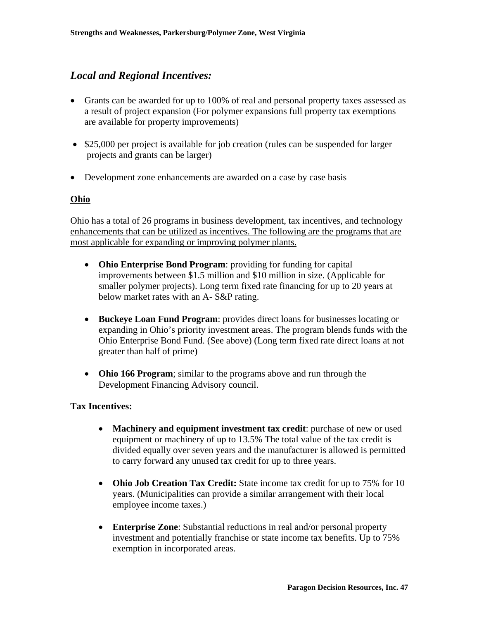# *Local and Regional Incentives:*

- Grants can be awarded for up to 100% of real and personal property taxes assessed as a result of project expansion (For polymer expansions full property tax exemptions are available for property improvements)
- \$25,000 per project is available for job creation (rules can be suspended for larger projects and grants can be larger)
- Development zone enhancements are awarded on a case by case basis

## **Ohio**

Ohio has a total of 26 programs in business development, tax incentives, and technology enhancements that can be utilized as incentives. The following are the programs that are most applicable for expanding or improving polymer plants.

- **Ohio Enterprise Bond Program**: providing for funding for capital improvements between \$1.5 million and \$10 million in size. (Applicable for smaller polymer projects). Long term fixed rate financing for up to 20 years at below market rates with an A- S&P rating.
- **Buckeye Loan Fund Program**: provides direct loans for businesses locating or expanding in Ohio's priority investment areas. The program blends funds with the Ohio Enterprise Bond Fund. (See above) (Long term fixed rate direct loans at not greater than half of prime)
- **Ohio 166 Program**; similar to the programs above and run through the Development Financing Advisory council.

## **Tax Incentives:**

- **Machinery and equipment investment tax credit**: purchase of new or used equipment or machinery of up to 13.5% The total value of the tax credit is divided equally over seven years and the manufacturer is allowed is permitted to carry forward any unused tax credit for up to three years.
- **Ohio Job Creation Tax Credit:** State income tax credit for up to 75% for 10 years. (Municipalities can provide a similar arrangement with their local employee income taxes.)
- **Enterprise Zone**: Substantial reductions in real and/or personal property investment and potentially franchise or state income tax benefits. Up to 75% exemption in incorporated areas.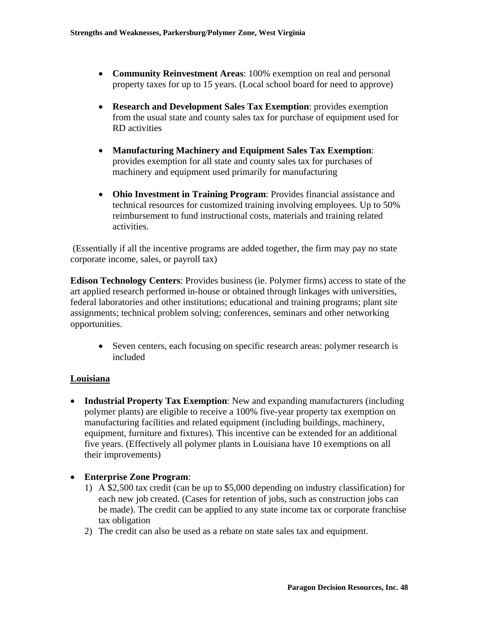- **Community Reinvestment Areas**: 100% exemption on real and personal property taxes for up to 15 years. (Local school board for need to approve)
- **Research and Development Sales Tax Exemption**: provides exemption from the usual state and county sales tax for purchase of equipment used for RD activities
- **Manufacturing Machinery and Equipment Sales Tax Exemption**: provides exemption for all state and county sales tax for purchases of machinery and equipment used primarily for manufacturing
- **Ohio Investment in Training Program**: Provides financial assistance and technical resources for customized training involving employees. Up to 50% reimbursement to fund instructional costs, materials and training related activities.

 (Essentially if all the incentive programs are added together, the firm may pay no state corporate income, sales, or payroll tax)

**Edison Technology Centers**: Provides business (ie. Polymer firms) access to state of the art applied research performed in-house or obtained through linkages with universities, federal laboratories and other institutions; educational and training programs; plant site assignments; technical problem solving; conferences, seminars and other networking opportunities.

• Seven centers, each focusing on specific research areas: polymer research is included

## **Louisiana**

- **Industrial Property Tax Exemption**: New and expanding manufacturers (including polymer plants) are eligible to receive a 100% five-year property tax exemption on manufacturing facilities and related equipment (including buildings, machinery, equipment, furniture and fixtures). This incentive can be extended for an additional five years. (Effectively all polymer plants in Louisiana have 10 exemptions on all their improvements)
- **Enterprise Zone Program**:
	- 1) A \$2,500 tax credit (can be up to \$5,000 depending on industry classification) for each new job created. (Cases for retention of jobs, such as construction jobs can be made). The credit can be applied to any state income tax or corporate franchise tax obligation
	- 2) The credit can also be used as a rebate on state sales tax and equipment.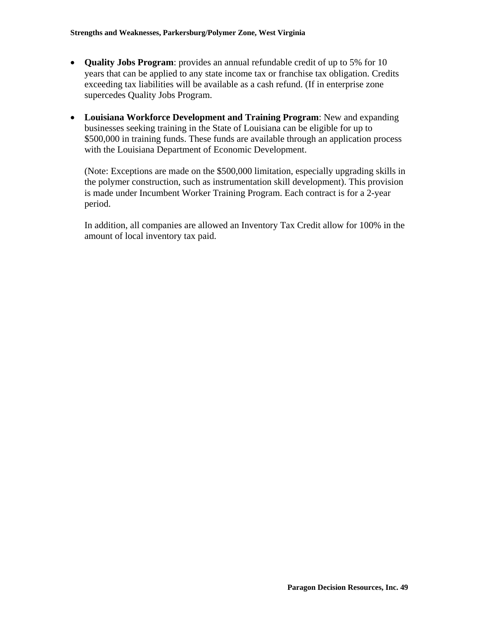- **Quality Jobs Program**: provides an annual refundable credit of up to 5% for 10 years that can be applied to any state income tax or franchise tax obligation. Credits exceeding tax liabilities will be available as a cash refund. (If in enterprise zone supercedes Quality Jobs Program.
- **Louisiana Workforce Development and Training Program**: New and expanding businesses seeking training in the State of Louisiana can be eligible for up to \$500,000 in training funds. These funds are available through an application process with the Louisiana Department of Economic Development.

(Note: Exceptions are made on the \$500,000 limitation, especially upgrading skills in the polymer construction, such as instrumentation skill development). This provision is made under Incumbent Worker Training Program. Each contract is for a 2-year period.

In addition, all companies are allowed an Inventory Tax Credit allow for 100% in the amount of local inventory tax paid.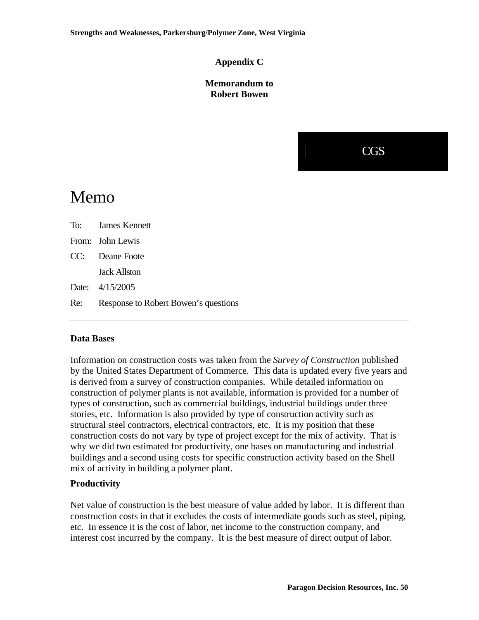## **Appendix C**

## **Memorandum to Robert Bowen**



# Memo

| To: James Kennett                        |
|------------------------------------------|
| From: John Lewis                         |
| CC: Deane Foote                          |
| <b>Jack Allston</b>                      |
| Date: 4/15/2005                          |
| Re: Response to Robert Bowen's questions |

## **Data Bases**

Information on construction costs was taken from the *Survey of Construction* published by the United States Department of Commerce. This data is updated every five years and is derived from a survey of construction companies. While detailed information on construction of polymer plants is not available, information is provided for a number of types of construction, such as commercial buildings, industrial buildings under three stories, etc. Information is also provided by type of construction activity such as structural steel contractors, electrical contractors, etc. It is my position that these construction costs do not vary by type of project except for the mix of activity. That is why we did two estimated for productivity, one bases on manufacturing and industrial buildings and a second using costs for specific construction activity based on the Shell mix of activity in building a polymer plant.

## **Productivity**

Net value of construction is the best measure of value added by labor. It is different than construction costs in that it excludes the costs of intermediate goods such as steel, piping, etc. In essence it is the cost of labor, net income to the construction company, and interest cost incurred by the company. It is the best measure of direct output of labor.